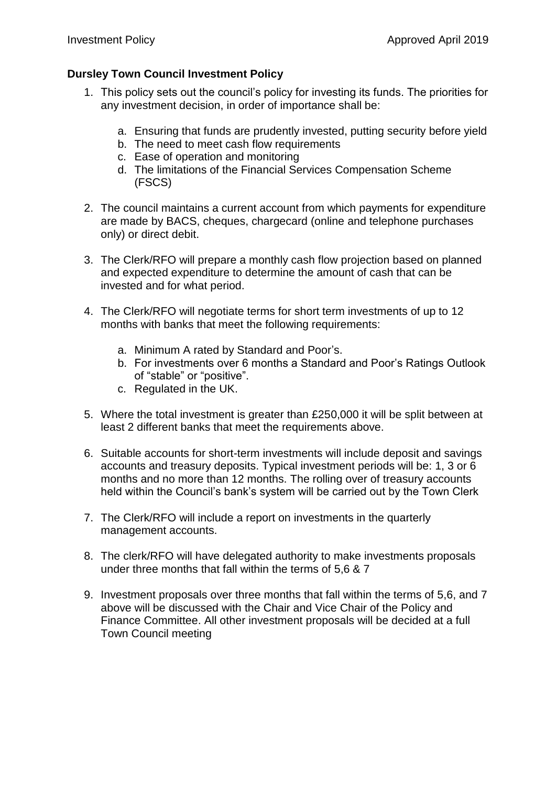## **Dursley Town Council Investment Policy**

- 1. This policy sets out the council's policy for investing its funds. The priorities for any investment decision, in order of importance shall be:
	- a. Ensuring that funds are prudently invested, putting security before yield
	- b. The need to meet cash flow requirements
	- c. Ease of operation and monitoring
	- d. The limitations of the Financial Services Compensation Scheme (FSCS)
- 2. The council maintains a current account from which payments for expenditure are made by BACS, cheques, chargecard (online and telephone purchases only) or direct debit.
- 3. The Clerk/RFO will prepare a monthly cash flow projection based on planned and expected expenditure to determine the amount of cash that can be invested and for what period.
- 4. The Clerk/RFO will negotiate terms for short term investments of up to 12 months with banks that meet the following requirements:
	- a. Minimum A rated by Standard and Poor's.
	- b. For investments over 6 months a Standard and Poor's Ratings Outlook of "stable" or "positive".
	- c. Regulated in the UK.
- 5. Where the total investment is greater than £250,000 it will be split between at least 2 different banks that meet the requirements above.
- 6. Suitable accounts for short-term investments will include deposit and savings accounts and treasury deposits. Typical investment periods will be: 1, 3 or 6 months and no more than 12 months. The rolling over of treasury accounts held within the Council's bank's system will be carried out by the Town Clerk
- 7. The Clerk/RFO will include a report on investments in the quarterly management accounts.
- 8. The clerk/RFO will have delegated authority to make investments proposals under three months that fall within the terms of 5,6 & 7
- 9. Investment proposals over three months that fall within the terms of 5,6, and 7 above will be discussed with the Chair and Vice Chair of the Policy and Finance Committee. All other investment proposals will be decided at a full Town Council meeting